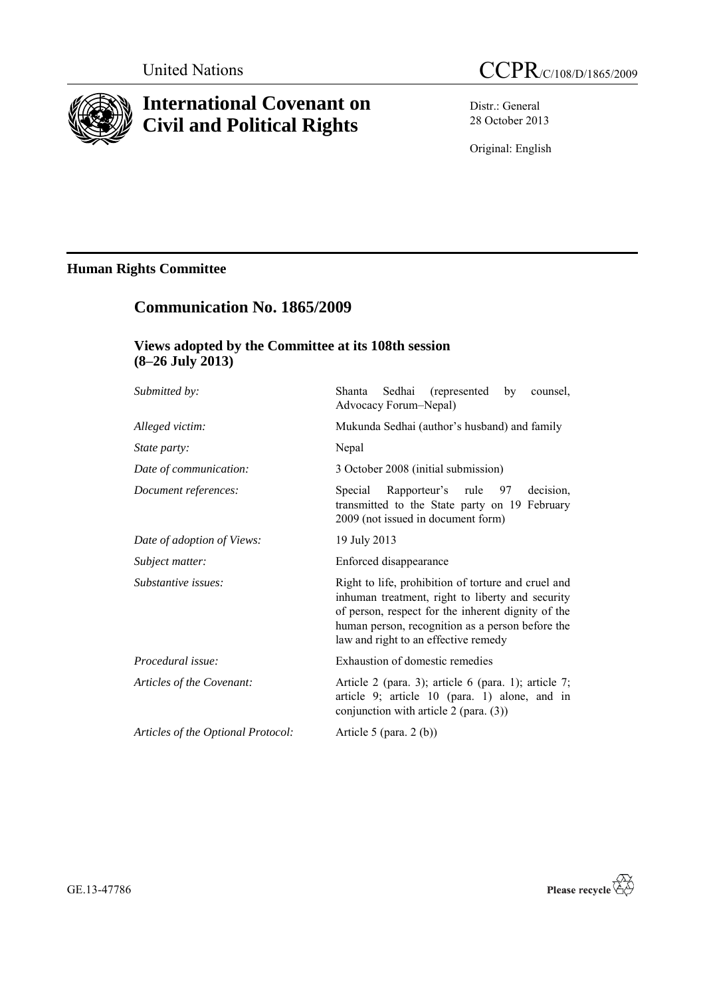

# **International Covenant on Civil and Political Rights**

Distr.: General 28 October 2013

Original: English

# **Human Rights Committee**

# **Communication No. 1865/2009**

# **Views adopted by the Committee at its 108th session (8–26 July 2013)**

| Submitted by:                      | Sedhai (represented by<br>Shanta<br>counsel.<br>Advocacy Forum-Nepal)                                                                                                                                                                                     |
|------------------------------------|-----------------------------------------------------------------------------------------------------------------------------------------------------------------------------------------------------------------------------------------------------------|
| Alleged victim:                    | Mukunda Sedhai (author's husband) and family                                                                                                                                                                                                              |
| State party:                       | Nepal                                                                                                                                                                                                                                                     |
| Date of communication:             | 3 October 2008 (initial submission)                                                                                                                                                                                                                       |
| Document references:               | Rapporteur's rule 97<br>Special<br>decision.<br>transmitted to the State party on 19 February<br>2009 (not issued in document form)                                                                                                                       |
| Date of adoption of Views:         | 19 July 2013                                                                                                                                                                                                                                              |
| Subject matter:                    | Enforced disappearance                                                                                                                                                                                                                                    |
| Substantive issues:                | Right to life, prohibition of torture and cruel and<br>inhuman treatment, right to liberty and security<br>of person, respect for the inherent dignity of the<br>human person, recognition as a person before the<br>law and right to an effective remedy |
| Procedural issue:                  | Exhaustion of domestic remedies                                                                                                                                                                                                                           |
| Articles of the Covenant:          | Article 2 (para. 3); article 6 (para. 1); article 7;<br>article 9; article 10 (para. 1) alone, and in<br>conjunction with article $2$ (para. (3))                                                                                                         |
| Articles of the Optional Protocol: | Article 5 (para. $2(b)$ )                                                                                                                                                                                                                                 |

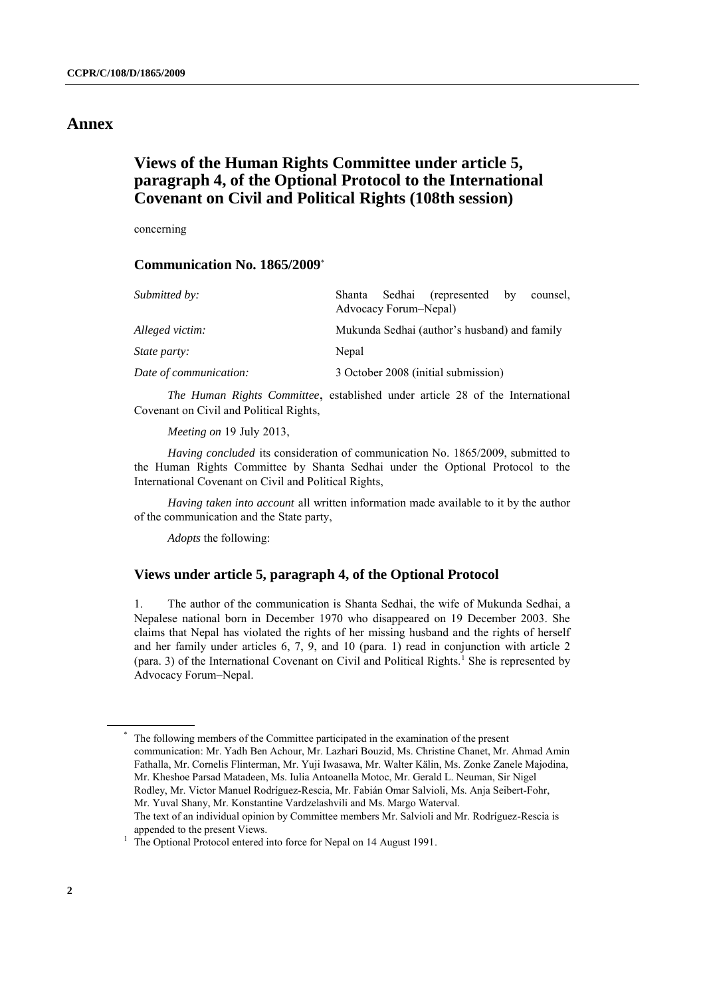# **Annex**

# **Views of the Human Rights Committee under article 5, paragraph 4, of the Optional Protocol to the International Covenant on Civil and Political Rights (108th session)**

concerning

## **Communication No. 1865/2009**\*

| Submitted by:          | (represented)<br>Sedhai<br>Shanta<br>$-$ by<br>counsel.<br>Advocacy Forum–Nepal) |
|------------------------|----------------------------------------------------------------------------------|
| Alleged victim:        | Mukunda Sedhai (author's husband) and family                                     |
| <i>State party:</i>    | Nepal                                                                            |
| Date of communication: | 3 October 2008 (initial submission)                                              |

*The Human Rights Committee*, established under article 28 of the International Covenant on Civil and Political Rights,

*Meeting on* 19 July 2013,

*Having concluded* its consideration of communication No. 1865/2009, submitted to the Human Rights Committee by Shanta Sedhai under the Optional Protocol to the International Covenant on Civil and Political Rights,

*Having taken into account* all written information made available to it by the author of the communication and the State party,

*Adopts* the following:

## **Views under article 5, paragraph 4, of the Optional Protocol**

1. The author of the communication is Shanta Sedhai, the wife of Mukunda Sedhai, a Nepalese national born in December 1970 who disappeared on 19 December 2003. She claims that Nepal has violated the rights of her missing husband and the rights of herself and her family under articles 6, 7, 9, and 10 (para. 1) read in conjunction with article 2 (para. 3) of the International Covenant on Civil and Political Rights.<sup>1</sup> She is represented by Advocacy Forum–Nepal.

The following members of the Committee participated in the examination of the present communication: Mr. Yadh Ben Achour, Mr. Lazhari Bouzid, Ms. Christine Chanet, Mr. Ahmad Amin Fathalla, Mr. Cornelis Flinterman, Mr. Yuji Iwasawa, Mr. Walter Kälin, Ms. Zonke Zanele Majodina, Mr. Kheshoe Parsad Matadeen, Ms. Iulia Antoanella Motoc, Mr. Gerald L. Neuman, Sir Nigel Rodley, Mr. Victor Manuel Rodríguez-Rescia, Mr. Fabián Omar Salvioli, Ms. Anja Seibert-Fohr, Mr. Yuval Shany, Mr. Konstantine Vardzelashvili and Ms. Margo Waterval. The text of an individual opinion by Committee members Mr. Salvioli and Mr. Rodríguez-Rescia is

appended to the present Views.

<sup>&</sup>lt;sup>1</sup> The Optional Protocol entered into force for Nepal on 14 August 1991.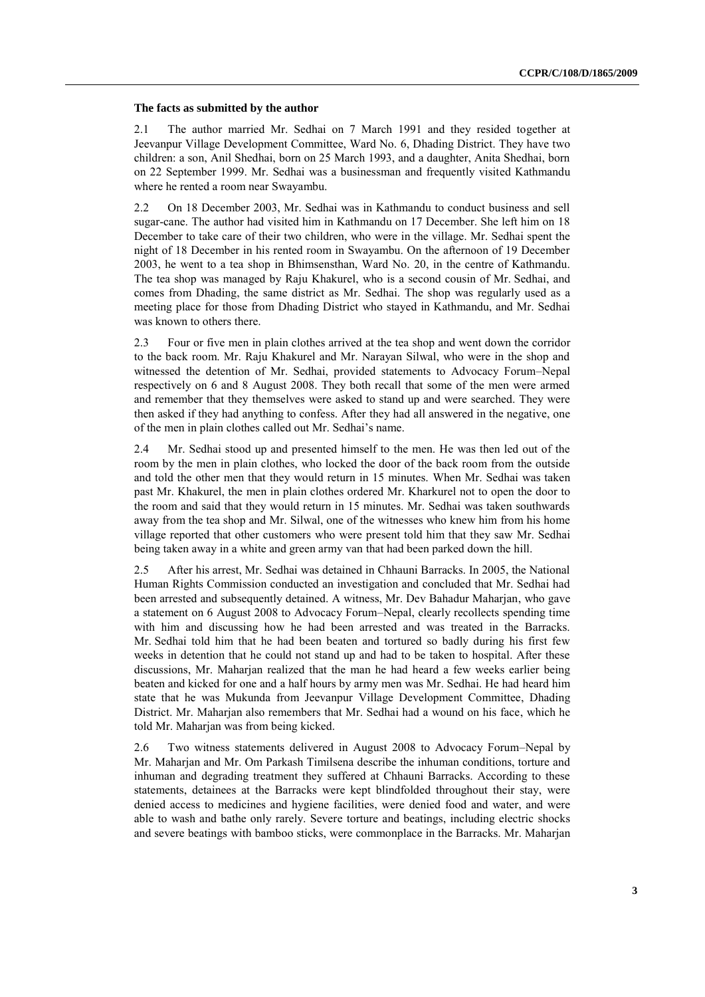#### **The facts as submitted by the author**

2.1 The author married Mr. Sedhai on 7 March 1991 and they resided together at Jeevanpur Village Development Committee, Ward No. 6, Dhading District. They have two children: a son, Anil Shedhai, born on 25 March 1993, and a daughter, Anita Shedhai, born on 22 September 1999. Mr. Sedhai was a businessman and frequently visited Kathmandu where he rented a room near Swayambu.

2.2 On 18 December 2003, Mr. Sedhai was in Kathmandu to conduct business and sell sugar-cane. The author had visited him in Kathmandu on 17 December. She left him on 18 December to take care of their two children, who were in the village. Mr. Sedhai spent the night of 18 December in his rented room in Swayambu. On the afternoon of 19 December 2003, he went to a tea shop in Bhimsensthan, Ward No. 20, in the centre of Kathmandu. The tea shop was managed by Raju Khakurel, who is a second cousin of Mr. Sedhai, and comes from Dhading, the same district as Mr. Sedhai. The shop was regularly used as a meeting place for those from Dhading District who stayed in Kathmandu, and Mr. Sedhai was known to others there.

2.3 Four or five men in plain clothes arrived at the tea shop and went down the corridor to the back room. Mr. Raju Khakurel and Mr. Narayan Silwal, who were in the shop and witnessed the detention of Mr. Sedhai, provided statements to Advocacy Forum–Nepal respectively on 6 and 8 August 2008. They both recall that some of the men were armed and remember that they themselves were asked to stand up and were searched. They were then asked if they had anything to confess. After they had all answered in the negative, one of the men in plain clothes called out Mr. Sedhai's name.

2.4 Mr. Sedhai stood up and presented himself to the men. He was then led out of the room by the men in plain clothes, who locked the door of the back room from the outside and told the other men that they would return in 15 minutes. When Mr. Sedhai was taken past Mr. Khakurel, the men in plain clothes ordered Mr. Kharkurel not to open the door to the room and said that they would return in 15 minutes. Mr. Sedhai was taken southwards away from the tea shop and Mr. Silwal, one of the witnesses who knew him from his home village reported that other customers who were present told him that they saw Mr. Sedhai being taken away in a white and green army van that had been parked down the hill.

2.5 After his arrest, Mr. Sedhai was detained in Chhauni Barracks. In 2005, the National Human Rights Commission conducted an investigation and concluded that Mr. Sedhai had been arrested and subsequently detained. A witness, Mr. Dev Bahadur Maharjan, who gave a statement on 6 August 2008 to Advocacy Forum–Nepal, clearly recollects spending time with him and discussing how he had been arrested and was treated in the Barracks. Mr. Sedhai told him that he had been beaten and tortured so badly during his first few weeks in detention that he could not stand up and had to be taken to hospital. After these discussions, Mr. Maharjan realized that the man he had heard a few weeks earlier being beaten and kicked for one and a half hours by army men was Mr. Sedhai. He had heard him state that he was Mukunda from Jeevanpur Village Development Committee, Dhading District. Mr. Maharjan also remembers that Mr. Sedhai had a wound on his face, which he told Mr. Maharjan was from being kicked.

2.6 Two witness statements delivered in August 2008 to Advocacy Forum–Nepal by Mr. Maharjan and Mr. Om Parkash Timilsena describe the inhuman conditions, torture and inhuman and degrading treatment they suffered at Chhauni Barracks. According to these statements, detainees at the Barracks were kept blindfolded throughout their stay, were denied access to medicines and hygiene facilities, were denied food and water, and were able to wash and bathe only rarely. Severe torture and beatings, including electric shocks and severe beatings with bamboo sticks, were commonplace in the Barracks. Mr. Maharjan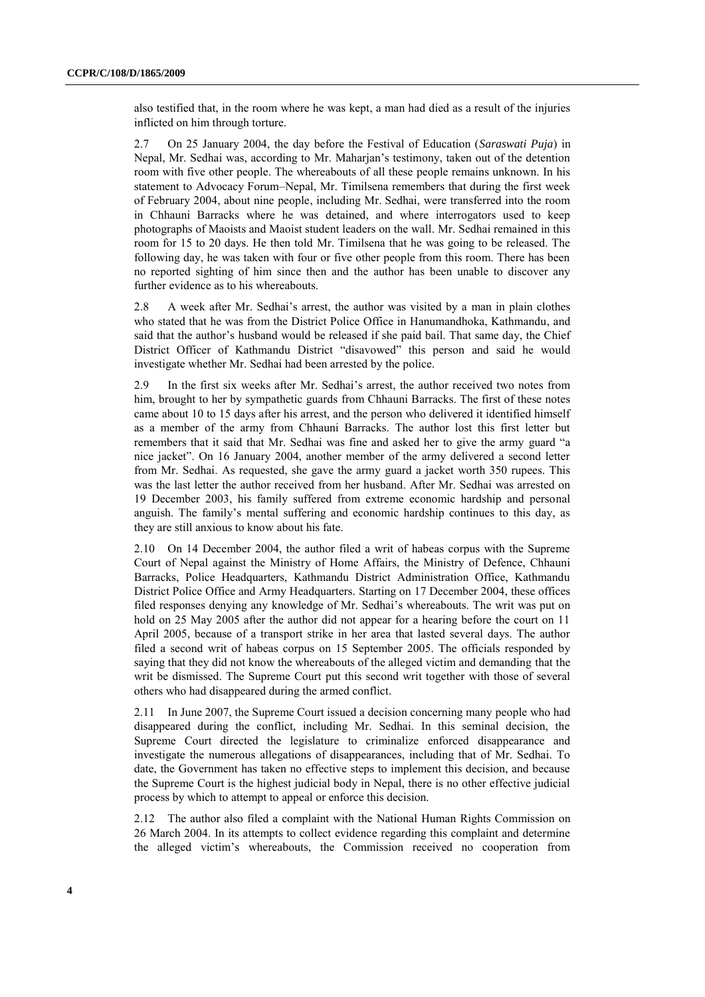also testified that, in the room where he was kept, a man had died as a result of the injuries inflicted on him through torture.

2.7 On 25 January 2004, the day before the Festival of Education (*Saraswati Puja*) in Nepal, Mr. Sedhai was, according to Mr. Maharjan's testimony, taken out of the detention room with five other people. The whereabouts of all these people remains unknown. In his statement to Advocacy Forum–Nepal, Mr. Timilsena remembers that during the first week of February 2004, about nine people, including Mr. Sedhai, were transferred into the room in Chhauni Barracks where he was detained, and where interrogators used to keep photographs of Maoists and Maoist student leaders on the wall. Mr. Sedhai remained in this room for 15 to 20 days. He then told Mr. Timilsena that he was going to be released. The following day, he was taken with four or five other people from this room. There has been no reported sighting of him since then and the author has been unable to discover any further evidence as to his whereabouts.

2.8 A week after Mr. Sedhai's arrest, the author was visited by a man in plain clothes who stated that he was from the District Police Office in Hanumandhoka, Kathmandu, and said that the author's husband would be released if she paid bail. That same day, the Chief District Officer of Kathmandu District "disavowed" this person and said he would investigate whether Mr. Sedhai had been arrested by the police.

2.9 In the first six weeks after Mr. Sedhai's arrest, the author received two notes from him, brought to her by sympathetic guards from Chhauni Barracks. The first of these notes came about 10 to 15 days after his arrest, and the person who delivered it identified himself as a member of the army from Chhauni Barracks. The author lost this first letter but remembers that it said that Mr. Sedhai was fine and asked her to give the army guard "a nice jacket". On 16 January 2004, another member of the army delivered a second letter from Mr. Sedhai. As requested, she gave the army guard a jacket worth 350 rupees. This was the last letter the author received from her husband. After Mr. Sedhai was arrested on 19 December 2003, his family suffered from extreme economic hardship and personal anguish. The family's mental suffering and economic hardship continues to this day, as they are still anxious to know about his fate.

2.10 On 14 December 2004, the author filed a writ of habeas corpus with the Supreme Court of Nepal against the Ministry of Home Affairs, the Ministry of Defence, Chhauni Barracks, Police Headquarters, Kathmandu District Administration Office, Kathmandu District Police Office and Army Headquarters. Starting on 17 December 2004, these offices filed responses denying any knowledge of Mr. Sedhai's whereabouts. The writ was put on hold on 25 May 2005 after the author did not appear for a hearing before the court on 11 April 2005, because of a transport strike in her area that lasted several days. The author filed a second writ of habeas corpus on 15 September 2005. The officials responded by saying that they did not know the whereabouts of the alleged victim and demanding that the writ be dismissed. The Supreme Court put this second writ together with those of several others who had disappeared during the armed conflict.

2.11 In June 2007, the Supreme Court issued a decision concerning many people who had disappeared during the conflict, including Mr. Sedhai. In this seminal decision, the Supreme Court directed the legislature to criminalize enforced disappearance and investigate the numerous allegations of disappearances, including that of Mr. Sedhai. To date, the Government has taken no effective steps to implement this decision, and because the Supreme Court is the highest judicial body in Nepal, there is no other effective judicial process by which to attempt to appeal or enforce this decision.

2.12 The author also filed a complaint with the National Human Rights Commission on 26 March 2004. In its attempts to collect evidence regarding this complaint and determine the alleged victim's whereabouts, the Commission received no cooperation from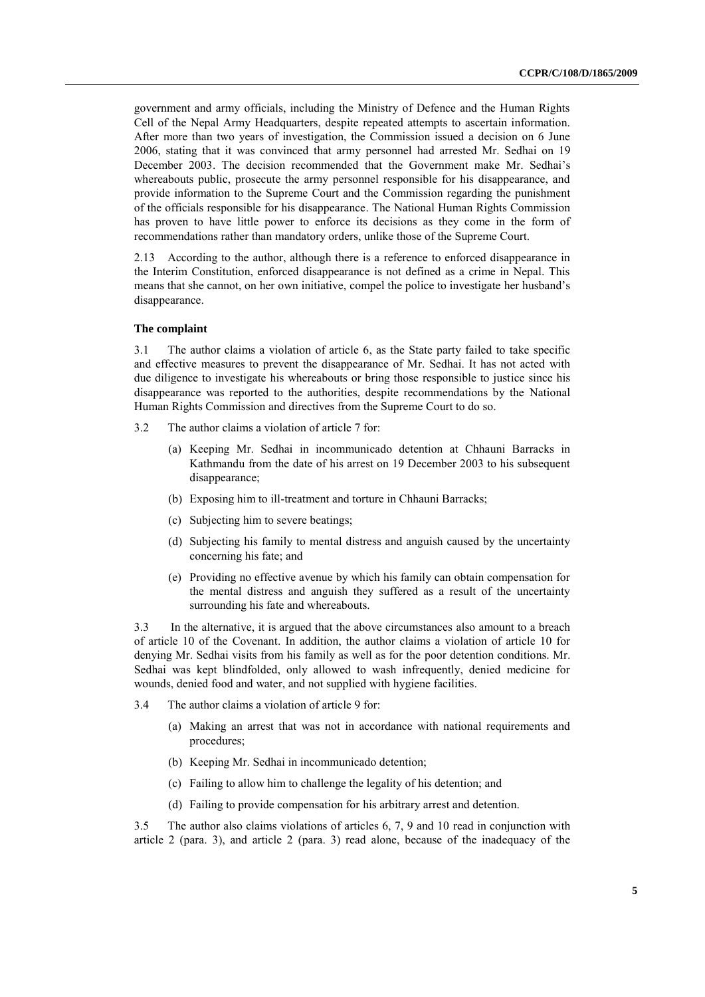government and army officials, including the Ministry of Defence and the Human Rights Cell of the Nepal Army Headquarters, despite repeated attempts to ascertain information. After more than two years of investigation, the Commission issued a decision on 6 June 2006, stating that it was convinced that army personnel had arrested Mr. Sedhai on 19 December 2003. The decision recommended that the Government make Mr. Sedhai's whereabouts public, prosecute the army personnel responsible for his disappearance, and provide information to the Supreme Court and the Commission regarding the punishment of the officials responsible for his disappearance. The National Human Rights Commission has proven to have little power to enforce its decisions as they come in the form of recommendations rather than mandatory orders, unlike those of the Supreme Court.

2.13 According to the author, although there is a reference to enforced disappearance in the Interim Constitution, enforced disappearance is not defined as a crime in Nepal. This means that she cannot, on her own initiative, compel the police to investigate her husband's disappearance.

#### **The complaint**

3.1 The author claims a violation of article 6, as the State party failed to take specific and effective measures to prevent the disappearance of Mr. Sedhai. It has not acted with due diligence to investigate his whereabouts or bring those responsible to justice since his disappearance was reported to the authorities, despite recommendations by the National Human Rights Commission and directives from the Supreme Court to do so.

- 3.2 The author claims a violation of article 7 for:
	- (a) Keeping Mr. Sedhai in incommunicado detention at Chhauni Barracks in Kathmandu from the date of his arrest on 19 December 2003 to his subsequent disappearance;
	- (b) Exposing him to ill-treatment and torture in Chhauni Barracks;
	- (c) Subjecting him to severe beatings;
	- (d) Subjecting his family to mental distress and anguish caused by the uncertainty concerning his fate; and
	- (e) Providing no effective avenue by which his family can obtain compensation for the mental distress and anguish they suffered as a result of the uncertainty surrounding his fate and whereabouts.

3.3 In the alternative, it is argued that the above circumstances also amount to a breach of article 10 of the Covenant. In addition, the author claims a violation of article 10 for denying Mr. Sedhai visits from his family as well as for the poor detention conditions. Mr. Sedhai was kept blindfolded, only allowed to wash infrequently, denied medicine for wounds, denied food and water, and not supplied with hygiene facilities.

- 3.4 The author claims a violation of article 9 for:
	- (a) Making an arrest that was not in accordance with national requirements and procedures;
	- (b) Keeping Mr. Sedhai in incommunicado detention;
	- (c) Failing to allow him to challenge the legality of his detention; and
	- (d) Failing to provide compensation for his arbitrary arrest and detention.

3.5 The author also claims violations of articles 6, 7, 9 and 10 read in conjunction with article 2 (para. 3), and article 2 (para. 3) read alone, because of the inadequacy of the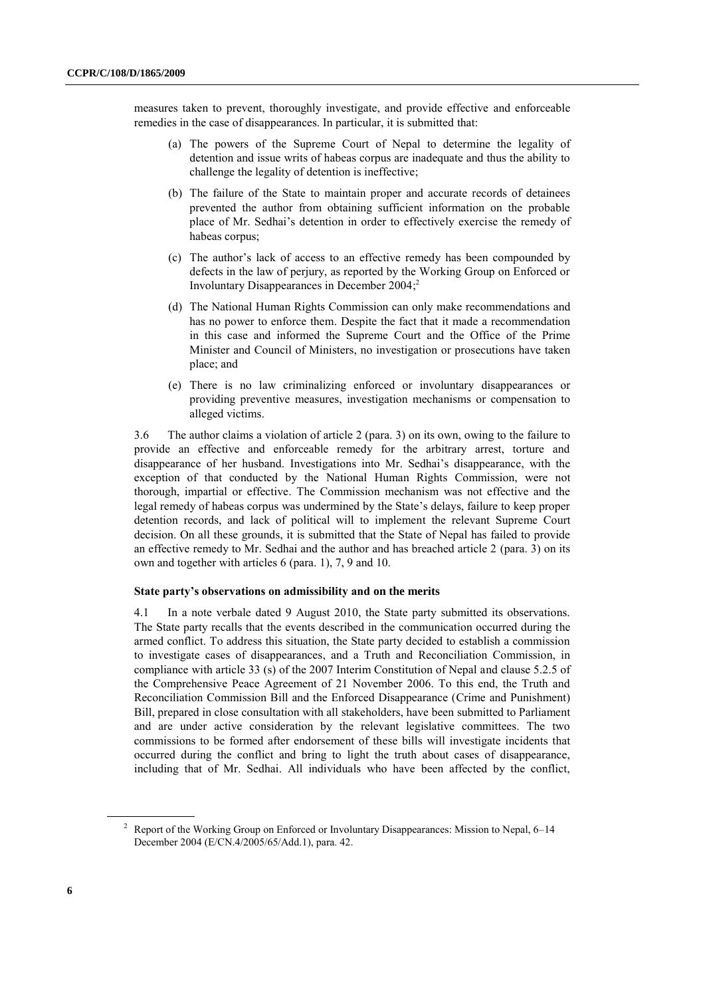measures taken to prevent, thoroughly investigate, and provide effective and enforceable remedies in the case of disappearances. In particular, it is submitted that:

- (a) The powers of the Supreme Court of Nepal to determine the legality of detention and issue writs of habeas corpus are inadequate and thus the ability to challenge the legality of detention is ineffective;
- (b) The failure of the State to maintain proper and accurate records of detainees prevented the author from obtaining sufficient information on the probable place of Mr. Sedhai's detention in order to effectively exercise the remedy of habeas corpus;
- (c) The author's lack of access to an effective remedy has been compounded by defects in the law of perjury, as reported by the Working Group on Enforced or Involuntary Disappearances in December 2004; 2
- (d) The National Human Rights Commission can only make recommendations and has no power to enforce them. Despite the fact that it made a recommendation in this case and informed the Supreme Court and the Office of the Prime Minister and Council of Ministers, no investigation or prosecutions have taken place; and
- (e) There is no law criminalizing enforced or involuntary disappearances or providing preventive measures, investigation mechanisms or compensation to alleged victims.

3.6 The author claims a violation of article 2 (para. 3) on its own, owing to the failure to provide an effective and enforceable remedy for the arbitrary arrest, torture and disappearance of her husband. Investigations into Mr. Sedhai's disappearance, with the exception of that conducted by the National Human Rights Commission, were not thorough, impartial or effective. The Commission mechanism was not effective and the legal remedy of habeas corpus was undermined by the State's delays, failure to keep proper detention records, and lack of political will to implement the relevant Supreme Court decision. On all these grounds, it is submitted that the State of Nepal has failed to provide an effective remedy to Mr. Sedhai and the author and has breached article 2 (para. 3) on its own and together with articles 6 (para. 1), 7, 9 and 10.

## **State party's observations on admissibility and on the merits**

4.1 In a note verbale dated 9 August 2010, the State party submitted its observations. The State party recalls that the events described in the communication occurred during the armed conflict. To address this situation, the State party decided to establish a commission to investigate cases of disappearances, and a Truth and Reconciliation Commission, in compliance with article 33 (s) of the 2007 Interim Constitution of Nepal and clause 5.2.5 of the Comprehensive Peace Agreement of 21 November 2006. To this end, the Truth and Reconciliation Commission Bill and the Enforced Disappearance (Crime and Punishment) Bill, prepared in close consultation with all stakeholders, have been submitted to Parliament and are under active consideration by the relevant legislative committees. The two commissions to be formed after endorsement of these bills will investigate incidents that occurred during the conflict and bring to light the truth about cases of disappearance, including that of Mr. Sedhai. All individuals who have been affected by the conflict,

<sup>&</sup>lt;sup>2</sup> Report of the Working Group on Enforced or Involuntary Disappearances: Mission to Nepal, 6–14 December 2004 (E/CN.4/2005/65/Add.1), para. 42.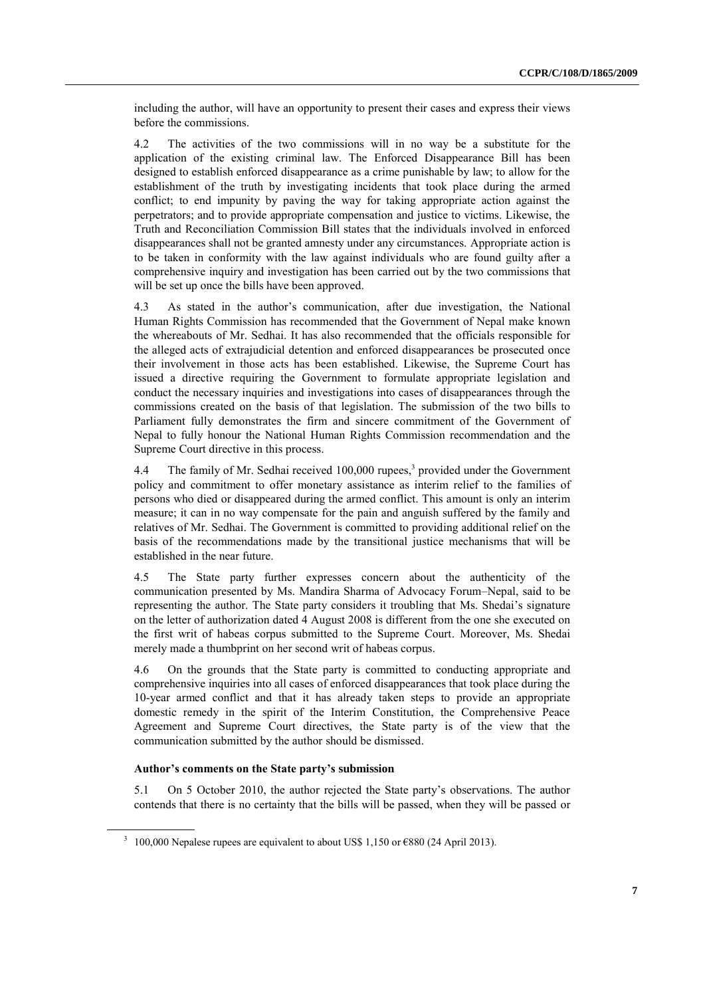including the author, will have an opportunity to present their cases and express their views before the commissions.

4.2 The activities of the two commissions will in no way be a substitute for the application of the existing criminal law. The Enforced Disappearance Bill has been designed to establish enforced disappearance as a crime punishable by law; to allow for the establishment of the truth by investigating incidents that took place during the armed conflict; to end impunity by paving the way for taking appropriate action against the perpetrators; and to provide appropriate compensation and justice to victims. Likewise, the Truth and Reconciliation Commission Bill states that the individuals involved in enforced disappearances shall not be granted amnesty under any circumstances. Appropriate action is to be taken in conformity with the law against individuals who are found guilty after a comprehensive inquiry and investigation has been carried out by the two commissions that will be set up once the bills have been approved.

4.3 As stated in the author's communication, after due investigation, the National Human Rights Commission has recommended that the Government of Nepal make known the whereabouts of Mr. Sedhai. It has also recommended that the officials responsible for the alleged acts of extrajudicial detention and enforced disappearances be prosecuted once their involvement in those acts has been established. Likewise, the Supreme Court has issued a directive requiring the Government to formulate appropriate legislation and conduct the necessary inquiries and investigations into cases of disappearances through the commissions created on the basis of that legislation. The submission of the two bills to Parliament fully demonstrates the firm and sincere commitment of the Government of Nepal to fully honour the National Human Rights Commission recommendation and the Supreme Court directive in this process.

4.4 The family of Mr. Sedhai received 100,000 rupees, 3 provided under the Government policy and commitment to offer monetary assistance as interim relief to the families of persons who died or disappeared during the armed conflict. This amount is only an interim measure; it can in no way compensate for the pain and anguish suffered by the family and relatives of Mr. Sedhai. The Government is committed to providing additional relief on the basis of the recommendations made by the transitional justice mechanisms that will be established in the near future.

4.5 The State party further expresses concern about the authenticity of the communication presented by Ms. Mandira Sharma of Advocacy Forum–Nepal, said to be representing the author. The State party considers it troubling that Ms. Shedai's signature on the letter of authorization dated 4 August 2008 is different from the one she executed on the first writ of habeas corpus submitted to the Supreme Court. Moreover, Ms. Shedai merely made a thumbprint on her second writ of habeas corpus.

4.6 On the grounds that the State party is committed to conducting appropriate and comprehensive inquiries into all cases of enforced disappearances that took place during the 10-year armed conflict and that it has already taken steps to provide an appropriate domestic remedy in the spirit of the Interim Constitution, the Comprehensive Peace Agreement and Supreme Court directives, the State party is of the view that the communication submitted by the author should be dismissed.

## **Author's comments on the State party's submission**

5.1 On 5 October 2010, the author rejected the State party's observations. The author contends that there is no certainty that the bills will be passed, when they will be passed or

<sup>&</sup>lt;sup>3</sup> 100,000 Nepalese rupees are equivalent to about US\$ 1,150 or  $\epsilon$ 880 (24 April 2013).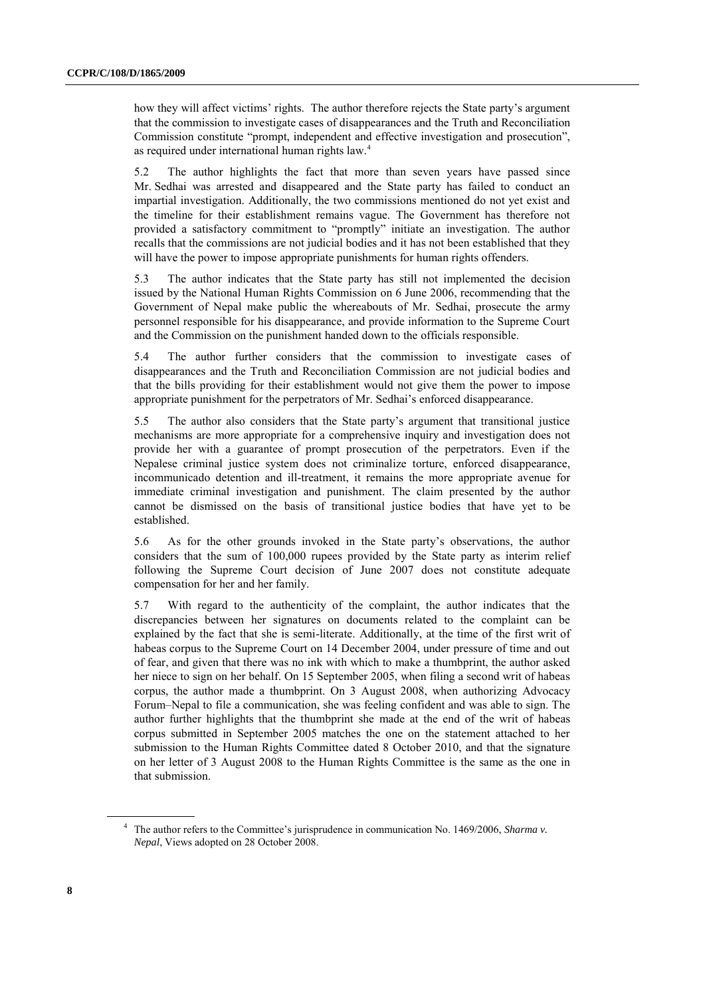how they will affect victims' rights. The author therefore rejects the State party's argument that the commission to investigate cases of disappearances and the Truth and Reconciliation Commission constitute "prompt, independent and effective investigation and prosecution", as required under international human rights law.<sup>4</sup>

5.2 The author highlights the fact that more than seven years have passed since Mr. Sedhai was arrested and disappeared and the State party has failed to conduct an impartial investigation. Additionally, the two commissions mentioned do not yet exist and the timeline for their establishment remains vague. The Government has therefore not provided a satisfactory commitment to "promptly" initiate an investigation. The author recalls that the commissions are not judicial bodies and it has not been established that they will have the power to impose appropriate punishments for human rights offenders.

5.3 The author indicates that the State party has still not implemented the decision issued by the National Human Rights Commission on 6 June 2006, recommending that the Government of Nepal make public the whereabouts of Mr. Sedhai, prosecute the army personnel responsible for his disappearance, and provide information to the Supreme Court and the Commission on the punishment handed down to the officials responsible.

5.4 The author further considers that the commission to investigate cases of disappearances and the Truth and Reconciliation Commission are not judicial bodies and that the bills providing for their establishment would not give them the power to impose appropriate punishment for the perpetrators of Mr. Sedhai's enforced disappearance.

5.5 The author also considers that the State party's argument that transitional justice mechanisms are more appropriate for a comprehensive inquiry and investigation does not provide her with a guarantee of prompt prosecution of the perpetrators. Even if the Nepalese criminal justice system does not criminalize torture, enforced disappearance, incommunicado detention and ill-treatment, it remains the more appropriate avenue for immediate criminal investigation and punishment. The claim presented by the author cannot be dismissed on the basis of transitional justice bodies that have yet to be established.

5.6 As for the other grounds invoked in the State party's observations, the author considers that the sum of 100,000 rupees provided by the State party as interim relief following the Supreme Court decision of June 2007 does not constitute adequate compensation for her and her family.

5.7 With regard to the authenticity of the complaint, the author indicates that the discrepancies between her signatures on documents related to the complaint can be explained by the fact that she is semi-literate. Additionally, at the time of the first writ of habeas corpus to the Supreme Court on 14 December 2004, under pressure of time and out of fear, and given that there was no ink with which to make a thumbprint, the author asked her niece to sign on her behalf. On 15 September 2005, when filing a second writ of habeas corpus, the author made a thumbprint. On 3 August 2008, when authorizing Advocacy Forum–Nepal to file a communication, she was feeling confident and was able to sign. The author further highlights that the thumbprint she made at the end of the writ of habeas corpus submitted in September 2005 matches the one on the statement attached to her submission to the Human Rights Committee dated 8 October 2010, and that the signature on her letter of 3 August 2008 to the Human Rights Committee is the same as the one in that submission.

<sup>4</sup> The author refers to the Committee's jurisprudence in communication No. 1469/2006, *Sharma v. Nepal*, Views adopted on 28 October 2008.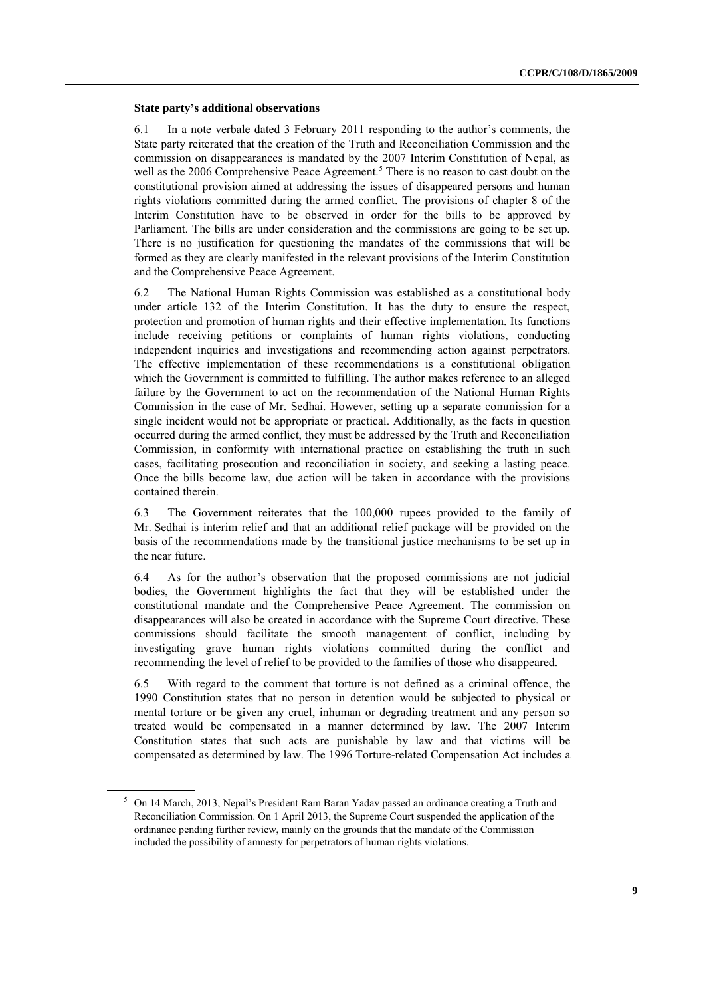#### **State party's additional observations**

6.1 In a note verbale dated 3 February 2011 responding to the author's comments, the State party reiterated that the creation of the Truth and Reconciliation Commission and the commission on disappearances is mandated by the 2007 Interim Constitution of Nepal, as well as the 2006 Comprehensive Peace Agreement.<sup>5</sup> There is no reason to cast doubt on the constitutional provision aimed at addressing the issues of disappeared persons and human rights violations committed during the armed conflict. The provisions of chapter 8 of the Interim Constitution have to be observed in order for the bills to be approved by Parliament. The bills are under consideration and the commissions are going to be set up. There is no justification for questioning the mandates of the commissions that will be formed as they are clearly manifested in the relevant provisions of the Interim Constitution and the Comprehensive Peace Agreement.

6.2 The National Human Rights Commission was established as a constitutional body under article 132 of the Interim Constitution. It has the duty to ensure the respect, protection and promotion of human rights and their effective implementation. Its functions include receiving petitions or complaints of human rights violations, conducting independent inquiries and investigations and recommending action against perpetrators. The effective implementation of these recommendations is a constitutional obligation which the Government is committed to fulfilling. The author makes reference to an alleged failure by the Government to act on the recommendation of the National Human Rights Commission in the case of Mr. Sedhai. However, setting up a separate commission for a single incident would not be appropriate or practical. Additionally, as the facts in question occurred during the armed conflict, they must be addressed by the Truth and Reconciliation Commission, in conformity with international practice on establishing the truth in such cases, facilitating prosecution and reconciliation in society, and seeking a lasting peace. Once the bills become law, due action will be taken in accordance with the provisions contained therein.

6.3 The Government reiterates that the 100,000 rupees provided to the family of Mr. Sedhai is interim relief and that an additional relief package will be provided on the basis of the recommendations made by the transitional justice mechanisms to be set up in the near future.

6.4 As for the author's observation that the proposed commissions are not judicial bodies, the Government highlights the fact that they will be established under the constitutional mandate and the Comprehensive Peace Agreement. The commission on disappearances will also be created in accordance with the Supreme Court directive. These commissions should facilitate the smooth management of conflict, including by investigating grave human rights violations committed during the conflict and recommending the level of relief to be provided to the families of those who disappeared.

6.5 With regard to the comment that torture is not defined as a criminal offence, the 1990 Constitution states that no person in detention would be subjected to physical or mental torture or be given any cruel, inhuman or degrading treatment and any person so treated would be compensated in a manner determined by law. The 2007 Interim Constitution states that such acts are punishable by law and that victims will be compensated as determined by law. The 1996 Torture-related Compensation Act includes a

<sup>5</sup> On 14 March, 2013, Nepal's President Ram Baran Yadav [passed an ordinance](http://www.hrw.org/node/114432) creating a Truth and Reconciliation Commission. On 1 April 2013, the Supreme Court [suspended the application of the](http://www.bbc.co.uk/news/world-asia-21996638)  [ordinance](http://www.bbc.co.uk/news/world-asia-21996638) pending further review, mainly on the grounds that the mandate of the Commission included the possibility of amnesty for perpetrators of human rights violations.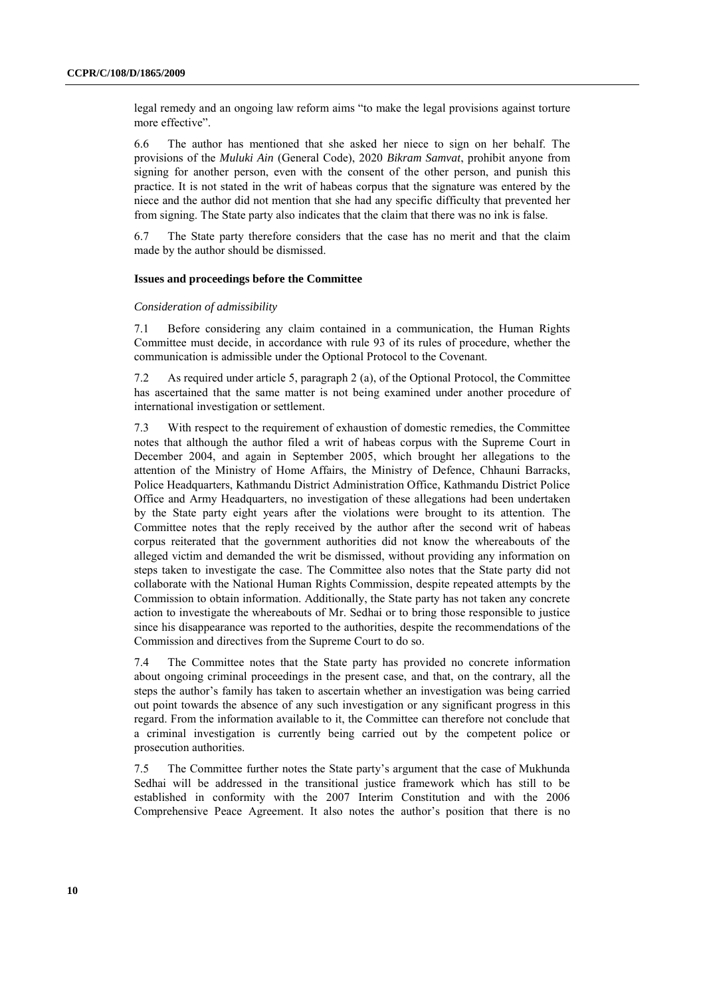legal remedy and an ongoing law reform aims "to make the legal provisions against torture more effective".

6.6 The author has mentioned that she asked her niece to sign on her behalf. The provisions of the *Muluki Ain* (General Code), 2020 *Bikram Samvat*, prohibit anyone from signing for another person, even with the consent of the other person, and punish this practice. It is not stated in the writ of habeas corpus that the signature was entered by the niece and the author did not mention that she had any specific difficulty that prevented her from signing. The State party also indicates that the claim that there was no ink is false.

6.7 The State party therefore considers that the case has no merit and that the claim made by the author should be dismissed.

#### **Issues and proceedings before the Committee**

### *Consideration of admissibility*

7.1 Before considering any claim contained in a communication, the Human Rights Committee must decide, in accordance with rule 93 of its rules of procedure, whether the communication is admissible under the Optional Protocol to the Covenant.

7.2 As required under article 5, paragraph 2 (a), of the Optional Protocol, the Committee has ascertained that the same matter is not being examined under another procedure of international investigation or settlement.

7.3 With respect to the requirement of exhaustion of domestic remedies, the Committee notes that although the author filed a writ of habeas corpus with the Supreme Court in December 2004, and again in September 2005, which brought her allegations to the attention of the Ministry of Home Affairs, the Ministry of Defence, Chhauni Barracks, Police Headquarters, Kathmandu District Administration Office, Kathmandu District Police Office and Army Headquarters, no investigation of these allegations had been undertaken by the State party eight years after the violations were brought to its attention. The Committee notes that the reply received by the author after the second writ of habeas corpus reiterated that the government authorities did not know the whereabouts of the alleged victim and demanded the writ be dismissed, without providing any information on steps taken to investigate the case. The Committee also notes that the State party did not collaborate with the National Human Rights Commission, despite repeated attempts by the Commission to obtain information. Additionally, the State party has not taken any concrete action to investigate the whereabouts of Mr. Sedhai or to bring those responsible to justice since his disappearance was reported to the authorities, despite the recommendations of the Commission and directives from the Supreme Court to do so.

7.4 The Committee notes that the State party has provided no concrete information about ongoing criminal proceedings in the present case, and that, on the contrary, all the steps the author's family has taken to ascertain whether an investigation was being carried out point towards the absence of any such investigation or any significant progress in this regard. From the information available to it, the Committee can therefore not conclude that a criminal investigation is currently being carried out by the competent police or prosecution authorities.

7.5 The Committee further notes the State party's argument that the case of Mukhunda Sedhai will be addressed in the transitional justice framework which has still to be established in conformity with the 2007 Interim Constitution and with the 2006 Comprehensive Peace Agreement. It also notes the author's position that there is no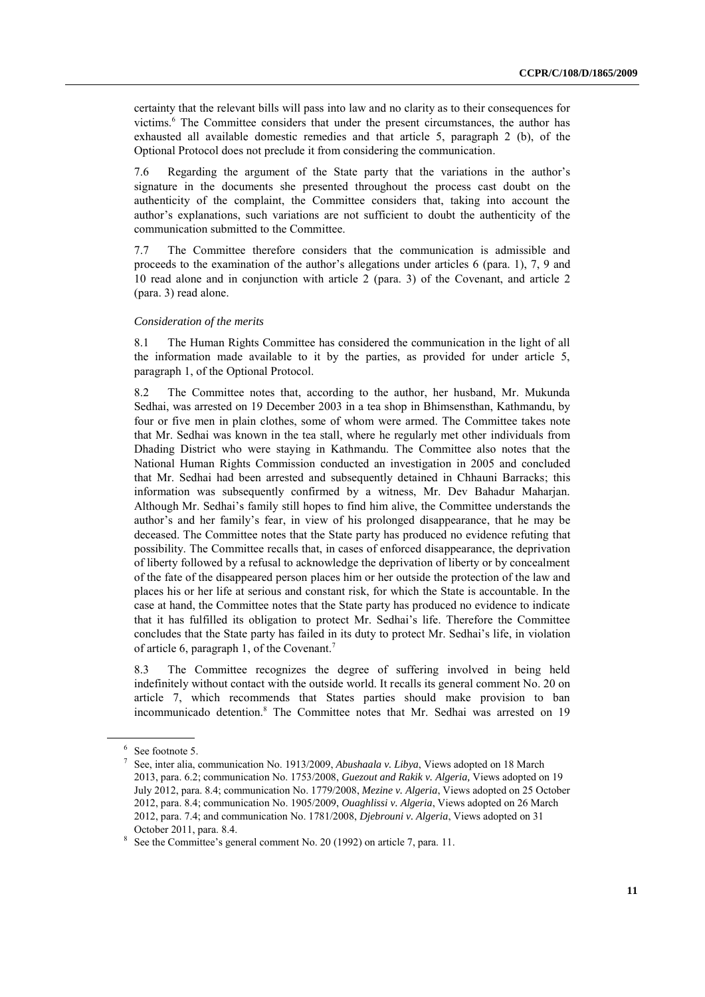certainty that the relevant bills will pass into law and no clarity as to their consequences for victims. <sup>6</sup> The Committee considers that under the present circumstances, the author has exhausted all available domestic remedies and that article 5, paragraph 2 (b), of the Optional Protocol does not preclude it from considering the communication.

7.6 Regarding the argument of the State party that the variations in the author's signature in the documents she presented throughout the process cast doubt on the authenticity of the complaint, the Committee considers that, taking into account the author's explanations, such variations are not sufficient to doubt the authenticity of the communication submitted to the Committee.

7.7 The Committee therefore considers that the communication is admissible and proceeds to the examination of the author's allegations under articles 6 (para. 1), 7, 9 and 10 read alone and in conjunction with article 2 (para. 3) of the Covenant, and article 2 (para. 3) read alone.

## *Consideration of the merits*

8.1 The Human Rights Committee has considered the communication in the light of all the information made available to it by the parties, as provided for under article 5, paragraph 1, of the Optional Protocol.

8.2 The Committee notes that, according to the author, her husband, Mr. Mukunda Sedhai, was arrested on 19 December 2003 in a tea shop in Bhimsensthan, Kathmandu, by four or five men in plain clothes, some of whom were armed. The Committee takes note that Mr. Sedhai was known in the tea stall, where he regularly met other individuals from Dhading District who were staying in Kathmandu. The Committee also notes that the National Human Rights Commission conducted an investigation in 2005 and concluded that Mr. Sedhai had been arrested and subsequently detained in Chhauni Barracks; this information was subsequently confirmed by a witness, Mr. Dev Bahadur Maharjan. Although Mr. Sedhai's family still hopes to find him alive, the Committee understands the author's and her family's fear, in view of his prolonged disappearance, that he may be deceased. The Committee notes that the State party has produced no evidence refuting that possibility. The Committee recalls that, in cases of enforced disappearance, the deprivation of liberty followed by a refusal to acknowledge the deprivation of liberty or by concealment of the fate of the disappeared person places him or her outside the protection of the law and places his or her life at serious and constant risk, for which the State is accountable. In the case at hand, the Committee notes that the State party has produced no evidence to indicate that it has fulfilled its obligation to protect Mr. Sedhai's life. Therefore the Committee concludes that the State party has failed in its duty to protect Mr. Sedhai's life, in violation of article 6, paragraph 1, of the Covenant.<sup>7</sup>

8.3 The Committee recognizes the degree of suffering involved in being held indefinitely without contact with the outside world. It recalls its general comment No. 20 on article 7, which recommends that States parties should make provision to ban incommunicado detention.<sup>8</sup> The Committee notes that Mr. Sedhai was arrested on 19

<sup>6</sup> See footnote 5.

<sup>7</sup> See, inter alia, communication No. 1913/2009, *Abushaala v. Libya*, Views adopted on 18 March 2013, para. 6.2; communication No. 1753/2008, *Guezout and Rakik v. Algeria,* Views adopted on 19 July 2012, para. 8.4; communication No. 1779/2008, *Mezine v. Algeria*, Views adopted on 25 October 2012, para. 8.4; communication No. 1905/2009, *Ouaghlissi v. Algeria*, Views adopted on 26 March 2012, para. 7.4; and communication No. 1781/2008, *Djebrouni v. Algeria*, Views adopted on 31 October 2011, para. 8.4.

<sup>&</sup>lt;sup>8</sup> See the Committee's general comment No. 20 (1992) on article 7, para. 11.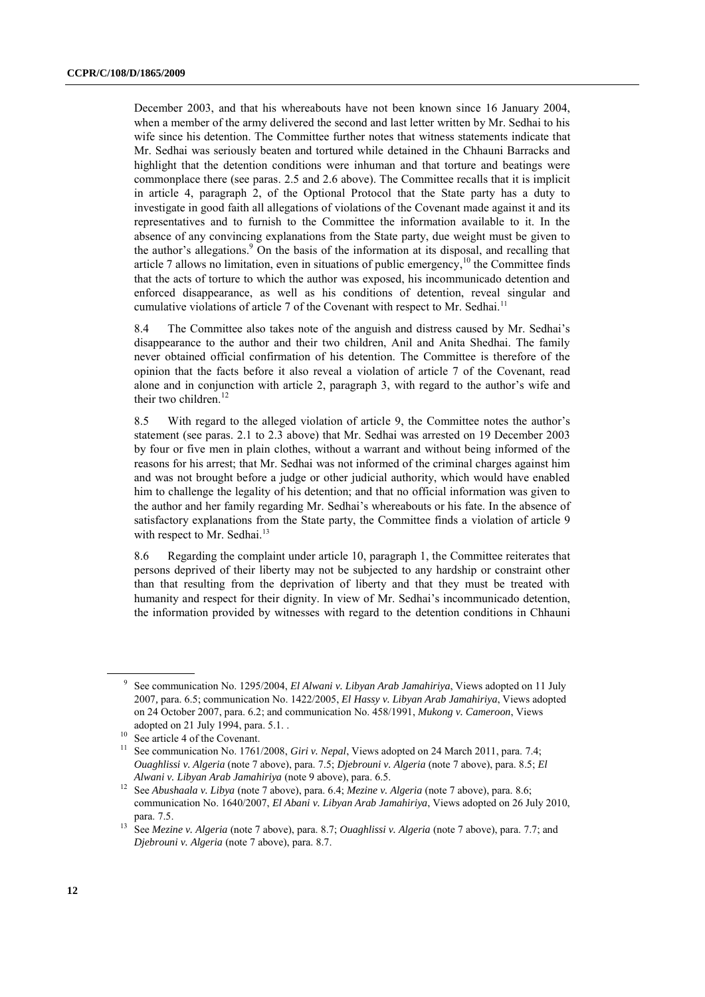December 2003, and that his whereabouts have not been known since 16 January 2004, when a member of the army delivered the second and last letter written by Mr. Sedhai to his wife since his detention. The Committee further notes that witness statements indicate that Mr. Sedhai was seriously beaten and tortured while detained in the Chhauni Barracks and highlight that the detention conditions were inhuman and that torture and beatings were commonplace there (see paras. 2.5 and 2.6 above). The Committee recalls that it is implicit in article 4, paragraph 2, of the Optional Protocol that the State party has a duty to investigate in good faith all allegations of violations of the Covenant made against it and its representatives and to furnish to the Committee the information available to it. In the absence of any convincing explanations from the State party, due weight must be given to the author's allegations. <sup>9</sup> On the basis of the information at its disposal, and recalling that article 7 allows no limitation, even in situations of public emergency,  $10$  the Committee finds that the acts of torture to which the author was exposed, his incommunicado detention and enforced disappearance, as well as his conditions of detention, reveal singular and cumulative violations of article 7 of the Covenant with respect to Mr. Sedhai.<sup>11</sup>

8.4 The Committee also takes note of the anguish and distress caused by Mr. Sedhai's disappearance to the author and their two children, Anil and Anita Shedhai. The family never obtained official confirmation of his detention. The Committee is therefore of the opinion that the facts before it also reveal a violation of article 7 of the Covenant, read alone and in conjunction with article 2, paragraph 3, with regard to the author's wife and their two children.<sup>12</sup>

8.5 With regard to the alleged violation of article 9, the Committee notes the author's statement (see paras. 2.1 to 2.3 above) that Mr. Sedhai was arrested on 19 December 2003 by four or five men in plain clothes, without a warrant and without being informed of the reasons for his arrest; that Mr. Sedhai was not informed of the criminal charges against him and was not brought before a judge or other judicial authority, which would have enabled him to challenge the legality of his detention; and that no official information was given to the author and her family regarding Mr. Sedhai's whereabouts or his fate. In the absence of satisfactory explanations from the State party, the Committee finds a violation of article 9 with respect to Mr. Sedhai.<sup>13</sup>

8.6 Regarding the complaint under article 10, paragraph 1, the Committee reiterates that persons deprived of their liberty may not be subjected to any hardship or constraint other than that resulting from the deprivation of liberty and that they must be treated with humanity and respect for their dignity. In view of Mr. Sedhai's incommunicado detention, the information provided by witnesses with regard to the detention conditions in Chhauni

<sup>9</sup> See communication No. 1295/2004, *El Alwani v. Libyan Arab Jamahiriya*, Views adopted on 11 July 2007*,* para. 6.5; communication No. 1422/2005, *El Hassy v. Libyan Arab Jamahiriya*, Views adopted on 24 October 2007, para. 6.2; and communication No. 458/1991, *Mukong v. Cameroon*, Views adopted on 21 July 1994, para. 5.1. .

See article 4 of the Covenant.

<sup>&</sup>lt;sup>11</sup> See communication No. 1761/2008, *Giri v. Nepal*, Views adopted on 24 March 2011, para. 7.4; *Ouaghlissi v. Algeria* (note 7 above), para. 7.5; *Djebrouni v. Algeria* (note 7 above), para. 8.5; *El Alwani v. Libyan Arab Jamahiriya* (note 9 above), para. 6.5.

<sup>12</sup> See *Abushaala v. Libya* (note 7 above), para. 6.4; *Mezine v. Algeria* (note 7 above), para. 8.6; communication No. 1640/2007, *El Abani v. Libyan Arab Jamahiriya*, Views adopted on 26 July 2010, para. 7.5.

<sup>13</sup> See *Mezine v. Algeria* (note 7 above), para. 8.7; *Ouaghlissi v. Algeria* (note 7 above), para. 7.7; and *Djebrouni v. Algeria* (note 7 above), para. 8.7.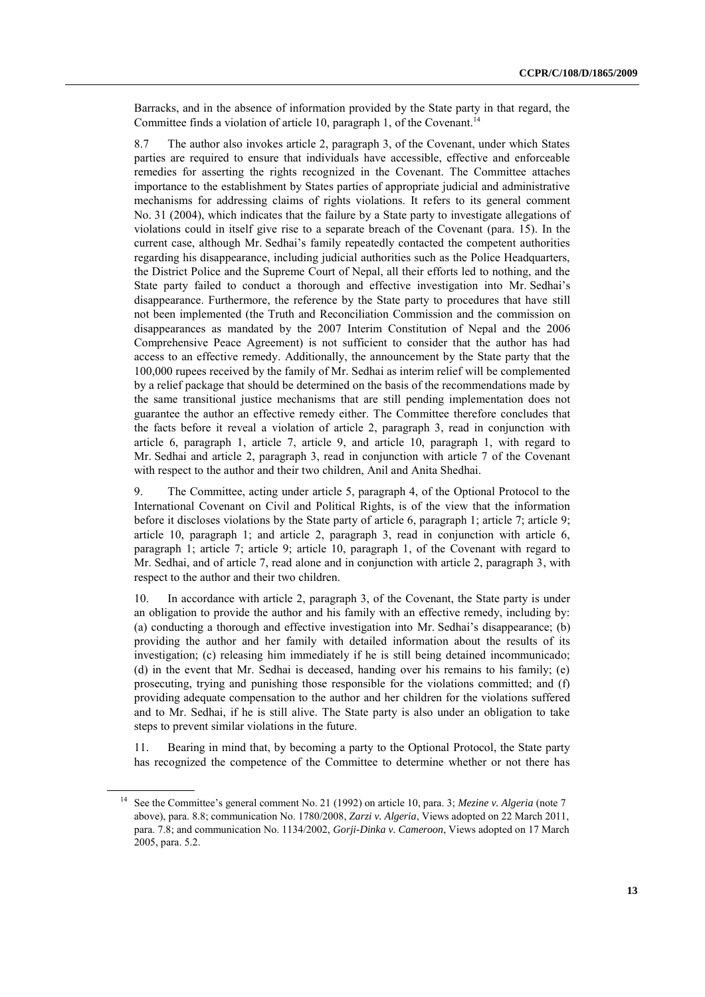Barracks, and in the absence of information provided by the State party in that regard, the Committee finds a violation of article 10, paragraph 1, of the Covenant.<sup>14</sup>

8.7 The author also invokes article 2, paragraph 3, of the Covenant, under which States parties are required to ensure that individuals have accessible, effective and enforceable remedies for asserting the rights recognized in the Covenant. The Committee attaches importance to the establishment by States parties of appropriate judicial and administrative mechanisms for addressing claims of rights violations. It refers to its general comment No. 31 (2004), which indicates that the failure by a State party to investigate allegations of violations could in itself give rise to a separate breach of the Covenant (para. 15). In the current case, although Mr. Sedhai's family repeatedly contacted the competent authorities regarding his disappearance, including judicial authorities such as the Police Headquarters, the District Police and the Supreme Court of Nepal, all their efforts led to nothing, and the State party failed to conduct a thorough and effective investigation into Mr. Sedhai's disappearance. Furthermore, the reference by the State party to procedures that have still not been implemented (the Truth and Reconciliation Commission and the commission on disappearances as mandated by the 2007 Interim Constitution of Nepal and the 2006 Comprehensive Peace Agreement) is not sufficient to consider that the author has had access to an effective remedy. Additionally, the announcement by the State party that the 100,000 rupees received by the family of Mr. Sedhai as interim relief will be complemented by a relief package that should be determined on the basis of the recommendations made by the same transitional justice mechanisms that are still pending implementation does not guarantee the author an effective remedy either. The Committee therefore concludes that the facts before it reveal a violation of article 2, paragraph 3, read in conjunction with article 6, paragraph 1, article 7, article 9, and article 10, paragraph 1, with regard to Mr. Sedhai and article 2, paragraph 3, read in conjunction with article 7 of the Covenant with respect to the author and their two children, Anil and Anita Shedhai.

9. The Committee, acting under article 5, paragraph 4, of the Optional Protocol to the International Covenant on Civil and Political Rights, is of the view that the information before it discloses violations by the State party of article 6, paragraph 1; article 7; article 9; article 10, paragraph 1; and article 2, paragraph 3, read in conjunction with article 6, paragraph 1; article 7; article 9; article 10, paragraph 1, of the Covenant with regard to Mr. Sedhai, and of article 7, read alone and in conjunction with article 2, paragraph 3, with respect to the author and their two children.

10. In accordance with article 2, paragraph 3, of the Covenant, the State party is under an obligation to provide the author and his family with an effective remedy, including by: (a) conducting a thorough and effective investigation into Mr. Sedhai's disappearance; (b) providing the author and her family with detailed information about the results of its investigation; (c) releasing him immediately if he is still being detained incommunicado; (d) in the event that Mr. Sedhai is deceased, handing over his remains to his family; (e) prosecuting, trying and punishing those responsible for the violations committed; and (f) providing adequate compensation to the author and her children for the violations suffered and to Mr. Sedhai, if he is still alive. The State party is also under an obligation to take steps to prevent similar violations in the future.

11. Bearing in mind that, by becoming a party to the Optional Protocol, the State party has recognized the competence of the Committee to determine whether or not there has

<sup>&</sup>lt;sup>14</sup> See the Committee's general comment No. 21 (1992) on article 10, para. 3; *Mezine v. Algeria* (note 7 above), para. 8.8; communication No. 1780/2008, *Zarzi v. Algeria*, Views adopted on 22 March 2011, para. 7.8; and communication No. 1134/2002, *Gorji-Dinka v. Cameroon*, Views adopted on 17 March 2005, para. 5.2.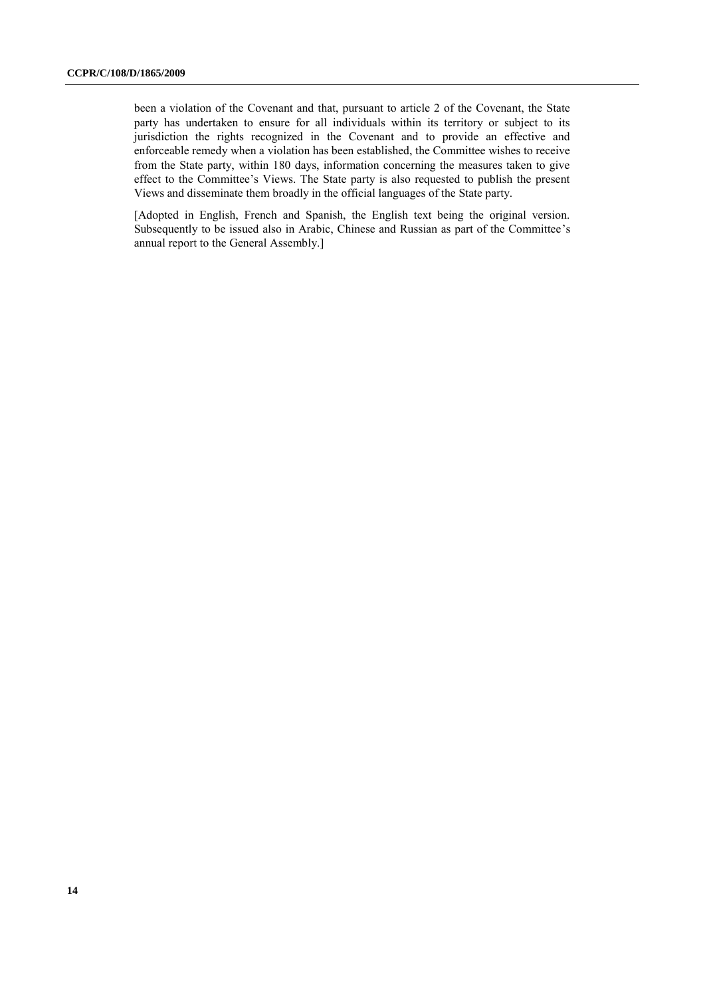been a violation of the Covenant and that, pursuant to article 2 of the Covenant, the State party has undertaken to ensure for all individuals within its territory or subject to its jurisdiction the rights recognized in the Covenant and to provide an effective and enforceable remedy when a violation has been established, the Committee wishes to receive from the State party, within 180 days, information concerning the measures taken to give effect to the Committee's Views. The State party is also requested to publish the present Views and disseminate them broadly in the official languages of the State party.

[Adopted in English, French and Spanish, the English text being the original version. Subsequently to be issued also in Arabic, Chinese and Russian as part of the Committee's annual report to the General Assembly.]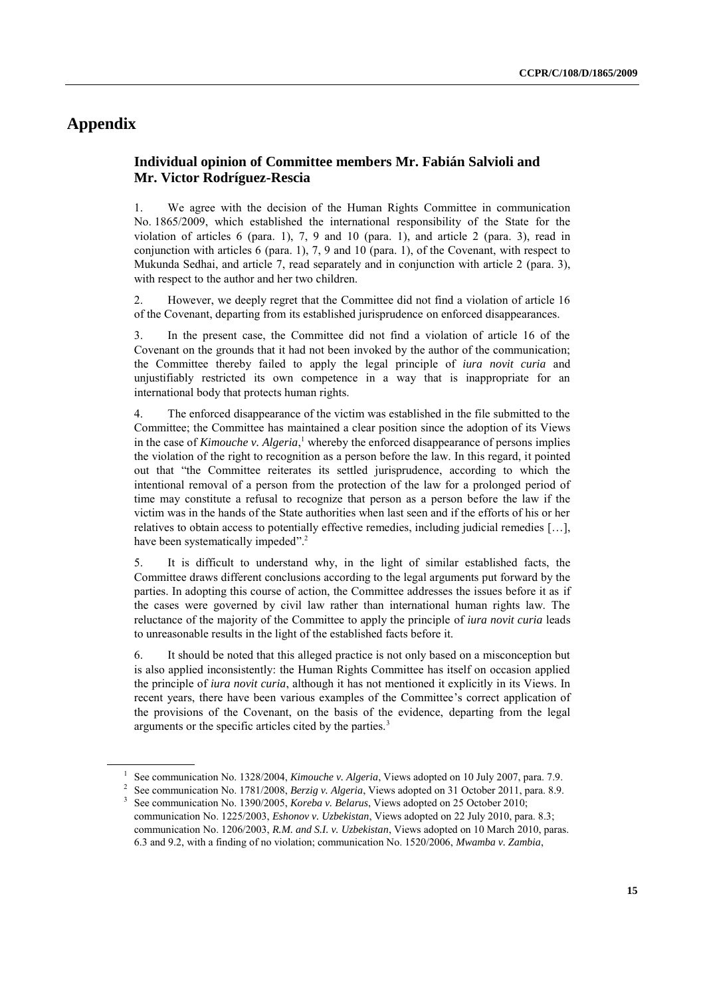# **Appendix**

## **Individual opinion of Committee members Mr. Fabián Salvioli and Mr. Victor Rodríguez-Rescia**

1. We agree with the decision of the Human Rights Committee in communication No. 1865/2009, which established the international responsibility of the State for the violation of articles 6 (para. 1), 7, 9 and 10 (para. 1), and article 2 (para. 3), read in conjunction with articles 6 (para. 1), 7, 9 and 10 (para. 1), of the Covenant, with respect to Mukunda Sedhai, and article 7, read separately and in conjunction with article 2 (para. 3), with respect to the author and her two children.

2. However, we deeply regret that the Committee did not find a violation of article 16 of the Covenant, departing from its established jurisprudence on enforced disappearances.

3. In the present case, the Committee did not find a violation of article 16 of the Covenant on the grounds that it had not been invoked by the author of the communication; the Committee thereby failed to apply the legal principle of *iura novit curia* and unjustifiably restricted its own competence in a way that is inappropriate for an international body that protects human rights.

4. The enforced disappearance of the victim was established in the file submitted to the Committee; the Committee has maintained a clear position since the adoption of its Views in the case of *Kimouche v. Algeria*, <sup>1</sup> whereby the enforced disappearance of persons implies the violation of the right to recognition as a person before the law. In this regard, it pointed out that "the Committee reiterates its settled jurisprudence, according to which the intentional removal of a person from the protection of the law for a prolonged period of time may constitute a refusal to recognize that person as a person before the law if the victim was in the hands of the State authorities when last seen and if the efforts of his or her relatives to obtain access to potentially effective remedies, including judicial remedies […], have been systematically impeded".<sup>2</sup>

5. It is difficult to understand why, in the light of similar established facts, the Committee draws different conclusions according to the legal arguments put forward by the parties. In adopting this course of action, the Committee addresses the issues before it as if the cases were governed by civil law rather than international human rights law. The reluctance of the majority of the Committee to apply the principle of *iura novit curia* leads to unreasonable results in the light of the established facts before it.

6. It should be noted that this alleged practice is not only based on a misconception but is also applied inconsistently: the Human Rights Committee has itself on occasion applied the principle of *iura novit curia*, although it has not mentioned it explicitly in its Views. In recent years, there have been various examples of the Committee's correct application of the provisions of the Covenant, on the basis of the evidence, departing from the legal arguments or the specific articles cited by the parties.<sup>3</sup>

<sup>1</sup> See communication No. 1328/2004, *Kimouche v. Algeria*, Views adopted on 10 July 2007, para. 7.9.

<sup>2</sup> See communication No. 1781/2008, *Berzig v. Algeria*, Views adopted on 31 October 2011, para. 8.9.

<sup>&</sup>lt;sup>3</sup> See communication No. 1390/2005, *Koreba v. Belarus*, Views adopted on 25 October 2010; communication No. 1225/2003, *Eshonov v. Uzbekistan*, Views adopted on 22 July 2010, para. 8.3;

communication No. 1206/2003, *R.M. and S.I. v. Uzbekistan*, Views adopted on 10 March 2010, paras. 6.3 and 9.2, with a finding of no violation; communication No. 1520/2006, *Mwamba v. Zambia*,